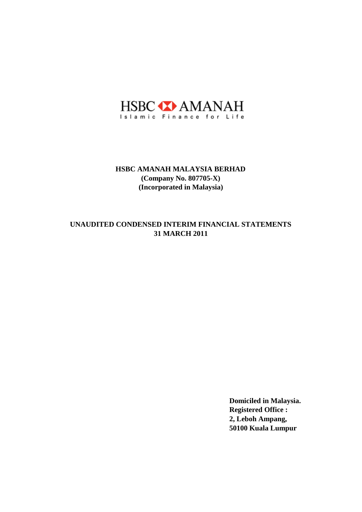

# **31 MARCH 2011 UNAUDITED CONDENSED INTERIM FINANCIAL STATEMENTS**

**Domiciled in Malaysia. Registered Office : 2, Leboh Ampang, 50100 Kuala Lumpur**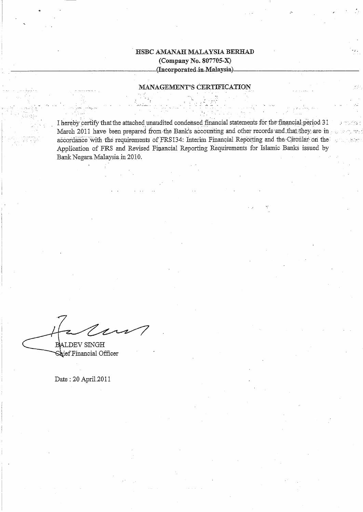### MANAGEMENT'S CERTIFICATION

I hereby certify that the attached unaudited condensed financial statements for the financial period 31 March 2011 have been prepared from the Bank's accounting and other records and that they are in accordance with the requirements of FRS134. Interim Financial Reporting and the Circular on the Application of FRS and Revised Financial Reporting Requirements for Islamic Banks issued by Bank Negara Malaysia in 2010.

BALDEV SINGH

Shief Financial Officer

Date: 20 April 2011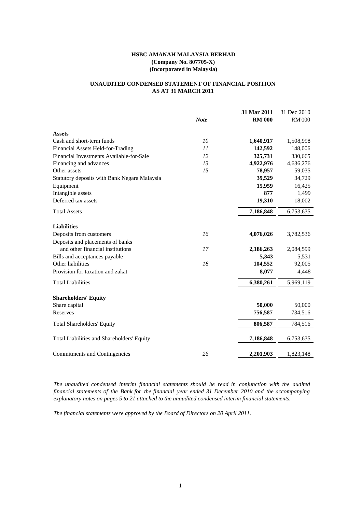# **UNAUDITED CONDENSED STATEMENT OF FINANCIAL POSITION AS AT 31 MARCH 2011**

|                                              |             | 31 Mar 2011   | 31 Dec 2010   |
|----------------------------------------------|-------------|---------------|---------------|
|                                              | <b>Note</b> | <b>RM'000</b> | <b>RM'000</b> |
| <b>Assets</b>                                |             |               |               |
| Cash and short-term funds                    | 10          | 1,640,917     | 1,508,998     |
| Financial Assets Held-for-Trading            | 11          | 142,592       | 148,006       |
| Financial Investments Available-for-Sale     | 12          | 325,731       | 330,665       |
| Financing and advances                       | 13          | 4,922,976     | 4,636,276     |
| Other assets                                 | 15          | 78,957        | 59,035        |
| Statutory deposits with Bank Negara Malaysia |             | 39,529        | 34,729        |
| Equipment                                    |             | 15,959        | 16,425        |
| Intangible assets                            |             | 877           | 1,499         |
| Deferred tax assets                          |             | 19,310        | 18,002        |
| <b>Total Assets</b>                          |             | 7,186,848     | 6,753,635     |
| <b>Liabilities</b>                           |             |               |               |
| Deposits from customers                      | 16          | 4,076,026     | 3,782,536     |
| Deposits and placements of banks             |             |               |               |
| and other financial institutions             | 17          | 2,186,263     | 2,084,599     |
| Bills and acceptances payable                |             | 5,343         | 5,531         |
| Other liabilities                            | 18          | 104,552       | 92,005        |
| Provision for taxation and zakat             |             | 8,077         | 4,448         |
| <b>Total Liabilities</b>                     |             | 6,380,261     | 5,969,119     |
| <b>Shareholders' Equity</b>                  |             |               |               |
| Share capital                                |             | 50,000        | 50,000        |
| Reserves                                     |             | 756,587       | 734,516       |
| <b>Total Shareholders' Equity</b>            |             | 806,587       | 784,516       |
| Total Liabilities and Shareholders' Equity   |             | 7,186,848     | 6,753,635     |
| Commitments and Contingencies                | 26          | 2,201,903     | 1,823,148     |

*The unaudited condensed interim financial statements should be read in conjunction with the audited financial statements of the Bank for the financial year ended 31 December 2010 and the accompanying explanatory notes on pages 5 to 21 attached to the unaudited condensed interim financial statements.*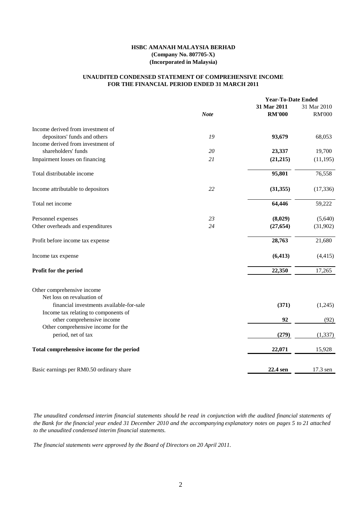### **FOR THE FINANCIAL PERIOD ENDED 31 MARCH 2011 UNAUDITED CONDENSED STATEMENT OF COMPREHENSIVE INCOME**

|                                                                                  |             | <b>Year-To-Date Ended</b> |               |
|----------------------------------------------------------------------------------|-------------|---------------------------|---------------|
|                                                                                  |             | 31 Mar 2011               | 31 Mar 2010   |
|                                                                                  | <b>Note</b> | <b>RM'000</b>             | <b>RM'000</b> |
| Income derived from investment of                                                |             |                           |               |
| depositors' funds and others                                                     | 19          | 93,679                    | 68,053        |
| Income derived from investment of                                                |             |                           |               |
| shareholders' funds                                                              | 20          | 23,337                    | 19,700        |
| Impairment losses on financing                                                   | 21          | (21,215)                  | (11, 195)     |
| Total distributable income                                                       |             | 95,801                    | 76,558        |
| Income attributable to depositors                                                | 22          | (31, 355)                 | (17, 336)     |
| Total net income                                                                 |             | 64,446                    | 59,222        |
| Personnel expenses                                                               | 23          | (8,029)                   | (5,640)       |
| Other overheads and expenditures                                                 | 24          | (27, 654)                 | (31,902)      |
| Profit before income tax expense                                                 |             | 28,763                    | 21,680        |
| Income tax expense                                                               |             | (6, 413)                  | (4, 415)      |
| Profit for the period                                                            |             | 22,350                    | 17,265        |
| Other comprehensive income<br>Net loss on revaluation of                         |             |                           |               |
| financial investments available-for-sale<br>Income tax relating to components of |             | (371)                     | (1,245)       |
| other comprehensive income                                                       |             | 92                        | (92)          |
| Other comprehensive income for the<br>period, net of tax                         |             | (279)                     | (1, 337)      |
| Total comprehensive income for the period                                        |             | 22,071                    | 15,928        |
| Basic earnings per RM0.50 ordinary share                                         |             | 22.4 sen                  | 17.3 sen      |
|                                                                                  |             |                           |               |

The unaudited condensed interim financial statements should be read in conjunction with the audited financial statements of the Bank for the financial year ended 31 December 2010 and the accompanying explanatory notes on pages 5 to 21 attached *to the unaudited condensed interim financial statements.*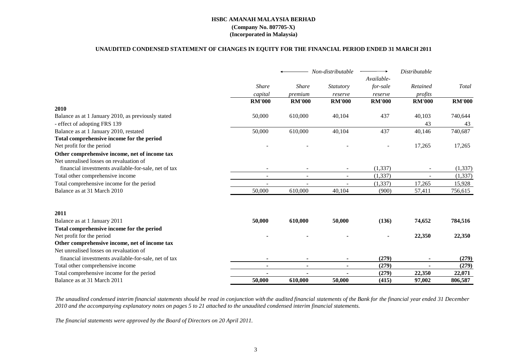#### **UNAUDITED CONDENSED STATEMENT OF CHANGES IN EQUITY FOR THE FINANCIAL PERIOD ENDED 31 MARCH 2011**

|                                                      |                          |                | Non-distributable        | Available-    | <b>Distributable</b> |               |
|------------------------------------------------------|--------------------------|----------------|--------------------------|---------------|----------------------|---------------|
|                                                      | <b>Share</b>             | <b>Share</b>   | <i>Statutory</i>         | for-sale      | Retained             | Total         |
|                                                      | capital                  | premium        | reserve                  | reserve       | profits              |               |
|                                                      | <b>RM'000</b>            | <b>RM'000</b>  | <b>RM'000</b>            | <b>RM'000</b> | <b>RM'000</b>        | <b>RM'000</b> |
| 2010                                                 |                          |                |                          |               |                      |               |
| Balance as at 1 January 2010, as previously stated   | 50,000                   | 610,000        | 40,104                   | 437           | 40,103               | 740,644       |
| - effect of adopting FRS 139                         |                          |                |                          |               | 43                   | 43            |
| Balance as at 1 January 2010, restated               | 50,000                   | 610,000        | 40,104                   | 437           | 40,146               | 740,687       |
| Total comprehensive income for the period            |                          |                |                          |               |                      |               |
| Net profit for the period                            |                          |                |                          |               | 17,265               | 17,265        |
| Other comprehensive income, net of income tax        |                          |                |                          |               |                      |               |
| Net unrealised losses on revaluation of              |                          |                |                          |               |                      |               |
| financial investments available-for-sale, net of tax |                          |                | $\overline{\phantom{a}}$ | (1, 337)      |                      | (1, 337)      |
| Total other comprehensive income                     | $\overline{\phantom{a}}$ | $\sim$         | $\overline{\phantom{a}}$ | (1, 337)      |                      | (1, 337)      |
| Total comprehensive income for the period            |                          |                |                          | (1, 337)      | 17,265               | 15,928        |
| Balance as at 31 March 2010                          | 50,000                   | 610,000        | 40,104                   | (900)         | 57,411               | 756,615       |
| 2011                                                 |                          |                |                          |               |                      |               |
| Balance as at 1 January 2011                         | 50,000                   | 610,000        | 50,000                   | (136)         | 74,652               | 784,516       |
| Total comprehensive income for the period            |                          |                |                          |               |                      |               |
| Net profit for the period                            |                          |                |                          |               | 22,350               | 22,350        |
| Other comprehensive income, net of income tax        |                          |                |                          |               |                      |               |
| Net unrealised losses on revaluation of              |                          |                |                          |               |                      |               |
| financial investments available-for-sale, net of tax | $\blacksquare$           | $\blacksquare$ | $\blacksquare$           | (279)         |                      | (279)         |
| Total other comprehensive income                     | $\blacksquare$           | $\blacksquare$ | $\blacksquare$           | (279)         |                      | (279)         |
| Total comprehensive income for the period            |                          |                |                          | (279)         | 22,350               | 22,071        |
| Balance as at 31 March 2011                          | 50,000                   | 610,000        | 50,000                   | (415)         | 97,002               | 806,587       |

The unaudited condensed interim financial statements should be read in conjunction with the audited financial statements of the Bank for the financial year ended 31 December *2010 and the accompanying explanatory notes on pages 5 to 21 attached to the unaudited condensed interim financial statements.*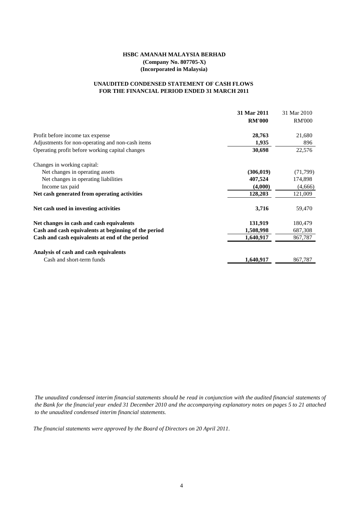### **FOR THE FINANCIAL PERIOD ENDED 31 MARCH 2011 UNAUDITED CONDENSED STATEMENT OF CASH FLOWS**

|                                                      | 31 Mar 2011   | 31 Mar 2010   |
|------------------------------------------------------|---------------|---------------|
|                                                      | <b>RM'000</b> | <b>RM'000</b> |
| Profit before income tax expense                     | 28,763        | 21,680        |
| Adjustments for non-operating and non-cash items     | 1,935         | 896           |
| Operating profit before working capital changes      | 30,698        | 22,576        |
| Changes in working capital:                          |               |               |
| Net changes in operating assets                      | (306, 019)    | (71, 799)     |
| Net changes in operating liabilities                 | 407,524       | 174,898       |
| Income tax paid                                      | (4,000)       | (4,666)       |
| Net cash generated from operating activities         | 128,203       | 121,009       |
| Net cash used in investing activities                | 3,716         | 59,470        |
| Net changes in cash and cash equivalents             | 131,919       | 180,479       |
| Cash and cash equivalents at beginning of the period | 1,508,998     | 687,308       |
| Cash and cash equivalents at end of the period       | 1,640,917     | 867,787       |
| Analysis of cash and cash equivalents                |               |               |
| Cash and short-term funds                            | 1,640,917     | 867,787       |

The unaudited condensed interim financial statements should be read in conjunction with the audited financial statements of the Bank for the financial year ended 31 December 2010 and the accompanying explanatory notes on pages 5 to 21 attached *to the unaudited condensed interim financial statements.*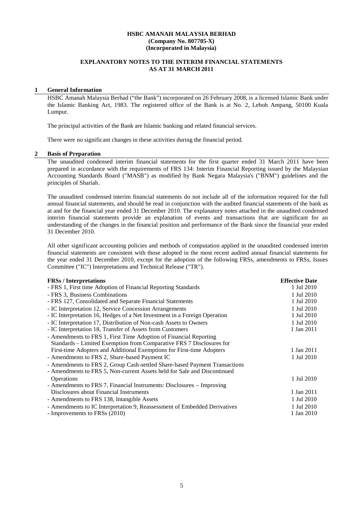### **EXPLANATORY NOTES TO THE INTERIM FINANCIAL STATEMENTS AS AT 31 MARCH 2011**

#### **1 General Information**

HSBC Amanah Malaysia Berhad ("the Bank") incorporated on 26 February 2008, is a licensed Islamic Bank under the Islamic Banking Act, 1983. The registered office of the Bank is at No. 2, Leboh Ampang, 50100 Kuala Lumpur.

The principal activities of the Bank are Islamic banking and related financial services.

There were no significant changes in these activities during the financial period.

#### **2 Basis of Preparation**

The unaudited condensed interim financial statements for the first quarter ended 31 March 2011 have been prepared in accordance with the requirements of FRS 134: Interim Financial Reporting issued by the Malaysian Accounting Standards Board ("MASB") as modified by Bank Negara Malaysia's ("BNM") guidelines and the principles of Shariah.

The unaudited condensed interim financial statements do not include all of the information required for the full annual financial statements, and should be read in conjunction with the audited financial statements of the bank as at and for the financial year ended 31 December 2010. The explanatory notes attached in the unaudited condensed interim financial statements provide an explanation of events and transactions that are significant for an understanding of the changes in the financial position and performance of the Bank since the financial year ended 31 December 2010.

All other significant accounting policies and methods of computation applied in the unaudited condensed interim financial statements are consistent with those adopted in the most recent audited annual financial statements for the year ended 31 December 2010, except for the adoption of the following FRSs, amendments to FRSs, Issues Committee ("IC") Interpretations and Technical Release ("TR").

| <b>FRSs</b> / Interpretations                                              | <b>Effective Date</b> |
|----------------------------------------------------------------------------|-----------------------|
| - FRS 1, First time Adoption of Financial Reporting Standards              | 1 Jul 2010            |
| - FRS 3, Business Combinations                                             | 1 Jul 2010            |
| - FRS 127, Consolidated and Separate Financial Statements                  | 1 Jul 2010            |
| - IC Interpretation 12, Service Concession Arrangements                    | 1 Jul 2010            |
| - IC Interpretation 16, Hedges of a Net Investment in a Foreign Operation  | 1 Jul 2010            |
| - IC Interpretation 17, Distribution of Non-cash Assets to Owners          | 1 Jul 2010            |
| - IC Interpretation 18, Transfer of Assets from Customers                  | 1 Jan 2011            |
| - Amendments to FRS 1, First Time Adoption of Financial Reporting          |                       |
| Standards – Limited Exemption from Comparative FRS 7 Disclosures for       |                       |
| First-time Adopters and Additional Exemptions for First-time Adopters      | 1 Jan 2011            |
| - Amendments to FRS 2, Share-based Payment IC                              | 1 Jul 2010            |
| - Amendments to FRS 2, Group Cash-settled Share-based Payment Transactions |                       |
| - Amendments to FRS 5, Non-current Assets held for Sale and Discontinued   |                       |
| Operations                                                                 | 1 Jul 2010            |
| - Amendments to FRS 7, Financial Instruments: Disclosures – Improving      |                       |
| Disclosures about Financial Instruments                                    | 1 Jan 2011            |
| - Amendments to FRS 138, Intangible Assets                                 | 1 Jul 2010            |
| - Amendments to IC Interpretation 9, Reassessment of Embedded Derivatives  | 1 Jul 2010            |
| - Improvements to FRSs (2010)                                              | 1 Jan 2010            |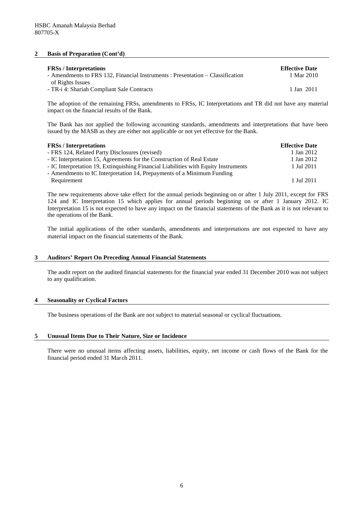#### **2 Basis of Preparation (Cont'd)**

| <b>FRSs</b> / Interpretations                                                  | <b>Effective Date</b> |
|--------------------------------------------------------------------------------|-----------------------|
| - Amendments to FRS 132, Financial Instruments : Presentation – Classification | 1 Mar 2010            |
| of Rights Issues<br>- TR-i 4: Shariah Compliant Sale Contracts                 | 1 Jan 2011            |
|                                                                                |                       |

The adoption of the remaining FRSs, amendments to FRSs, IC Interpretations and TR did not have any material impact on the financial results of the Bank.

The Bank has not applied the following accounting standards, amendments and interpretations that have been issued by the MASB as they are either not applicable or not yet effective for the Bank.

| <b>FRSs</b> / Interpretations                                                       | <b>Effective Date</b> |
|-------------------------------------------------------------------------------------|-----------------------|
| - FRS 124, Related Party Disclosures (revised)                                      | 1 Jan 2012            |
| - IC Interpretation 15, Agreements for the Construction of Real Estate              | 1 Jan 2012            |
| - IC Interpretation 19, Extinguishing Financial Liabilities with Equity Instruments | 1 Jul 2011            |
| - Amendments to IC Interpretation 14, Prepayments of a Minimum Funding              |                       |
| Requirement                                                                         | 1 Jul 2011            |

The new requirements above take effect for the annual periods beginning on or after 1 July 2011, except for FRS 124 and IC Interpretation 15 which applies for annual periods beginning on or after 1 January 2012. IC Interpretation 15 is not expected to have any impact on the financial statements of the Bank as it is not relevant to the operations of the Bank.

The initial applications of the other standards, amendments and interpretations are not expected to have any material impact on the financial statements of the Bank.

#### **3 Auditors' Report On Preceding Annual Financial Statements**

The audit report on the audited financial statements for the financial year ended 31 December 2010 was not subject to any qualification.

#### **4 Seasonality or Cyclical Factors**

The business operations of the Bank are not subject to material seasonal or cyclical fluctuations.

#### **5 Unusual Items Due to Their Nature, Size or Incidence**

There were no unusual items affecting assets, liabilities, equity, net income or cash flows of the Bank for the financial period ended 31 March 2011.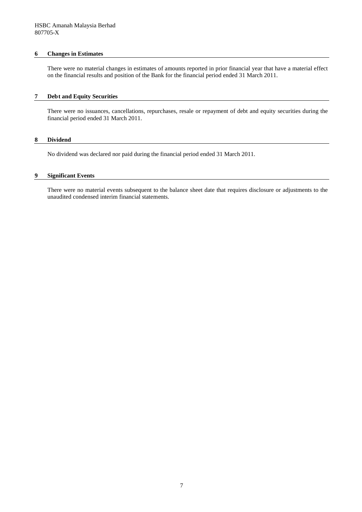#### **6 Changes in Estimates**

There were no material changes in estimates of amounts reported in prior financial year that have a material effect on the financial results and position of the Bank for the financial period ended 31 March 2011.

#### **7 Debt and Equity Securities**

There were no issuances, cancellations, repurchases, resale or repayment of debt and equity securities during the financial period ended 31 March 2011.

#### **8 Dividend**

No dividend was declared nor paid during the financial period ended 31 March 2011.

#### **9 Significant Events**

There were no material events subsequent to the balance sheet date that requires disclosure or adjustments to the unaudited condensed interim financial statements.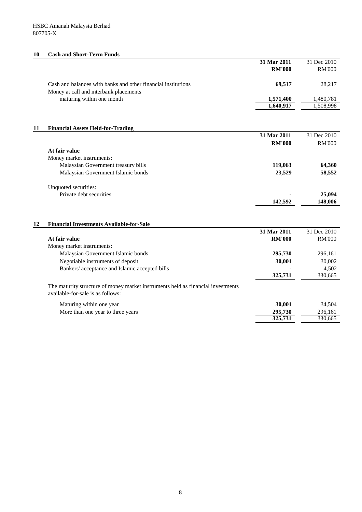# **10 Cash and Short-Term Funds**

|    |                                                                                  | 31 Mar 2011   | 31 Dec 2010   |
|----|----------------------------------------------------------------------------------|---------------|---------------|
|    |                                                                                  | <b>RM'000</b> | <b>RM'000</b> |
|    |                                                                                  |               |               |
|    | Cash and balances with banks and other financial institutions                    | 69,517        | 28,217        |
|    | Money at call and interbank placements                                           |               |               |
|    | maturing within one month                                                        | 1,571,400     | 1,480,781     |
|    |                                                                                  | 1,640,917     | 1,508,998     |
|    |                                                                                  |               |               |
|    |                                                                                  |               |               |
| 11 | <b>Financial Assets Held-for-Trading</b>                                         |               |               |
|    |                                                                                  | 31 Mar 2011   | 31 Dec 2010   |
|    |                                                                                  | <b>RM'000</b> | <b>RM'000</b> |
|    | At fair value                                                                    |               |               |
|    | Money market instruments:                                                        |               |               |
|    | Malaysian Government treasury bills                                              | 119,063       | 64,360        |
|    | Malaysian Government Islamic bonds                                               | 23,529        | 58,552        |
|    |                                                                                  |               |               |
|    | Unquoted securities:                                                             |               |               |
|    | Private debt securities                                                          |               | 25,094        |
|    |                                                                                  | 142,592       | 148,006       |
|    |                                                                                  |               |               |
|    |                                                                                  |               |               |
| 12 | <b>Financial Investments Available-for-Sale</b>                                  |               |               |
|    |                                                                                  | 31 Mar 2011   | 31 Dec 2010   |
|    | At fair value                                                                    | <b>RM'000</b> | <b>RM'000</b> |
|    | Money market instruments:                                                        |               |               |
|    | Malaysian Government Islamic bonds                                               | 295,730       | 296,161       |
|    | Negotiable instruments of deposit                                                | 30,001        | 30,002        |
|    | Bankers' acceptance and Islamic accepted bills                                   |               | 4,502         |
|    |                                                                                  | 325,731       | 330,665       |
|    |                                                                                  |               |               |
|    | The maturity structure of money market instruments held as financial investments |               |               |
|    | available-for-sale is as follows:                                                |               |               |
|    | Maturing within one year                                                         | 30,001        | 34,504        |
|    | More than one year to three years                                                | 295,730       | 296,161       |
|    |                                                                                  | 325,731       | 330,665       |
|    |                                                                                  |               |               |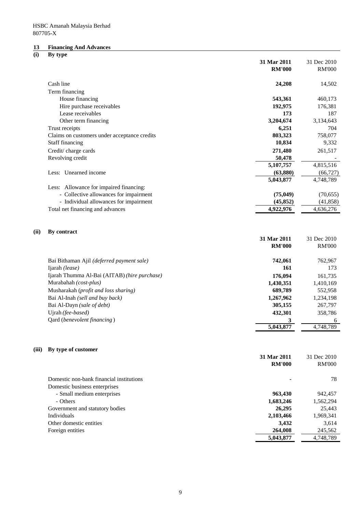#### **13 Financing And Advances**

#### **(i) By type**

|       |                                              | 31 Mar 2011<br><b>RM'000</b> | 31 Dec 2010<br><b>RM'000</b> |
|-------|----------------------------------------------|------------------------------|------------------------------|
|       | Cash line                                    | 24,208                       | 14,502                       |
|       | Term financing                               |                              |                              |
|       | House financing                              | 543,361                      | 460,173                      |
|       | Hire purchase receivables                    | 192,975                      | 176,381                      |
|       | Lease receivables                            | 173                          | 187                          |
|       | Other term financing                         | 3,204,674                    | 3,134,643                    |
|       | Trust receipts                               | 6,251                        | 704                          |
|       | Claims on customers under acceptance credits | 803,323                      | 758,077                      |
|       | Staff financing                              | 10,834                       | 9,332                        |
|       | Credit/charge cards                          | 271,480                      | 261,517                      |
|       | Revolving credit                             | 50,478                       |                              |
|       |                                              | 5,107,757                    | 4,815,516                    |
|       | Less: Unearned income                        | (63,880)                     | (66, 727)                    |
|       |                                              | 5,043,877                    | 4,748,789                    |
|       | Less: Allowance for impaired financing:      |                              |                              |
|       | - Collective allowances for impairment       | (75, 049)                    | (70, 655)                    |
|       | - Individual allowances for impairment       | (45, 852)                    | (41, 858)                    |
|       | Total net financing and advances             | 4,922,976                    | 4,636,276                    |
| (ii)  | By contract                                  |                              |                              |
|       |                                              | 31 Mar 2011                  | 31 Dec 2010                  |
|       |                                              | <b>RM'000</b>                | <b>RM'000</b>                |
|       | Bai Bithaman Ajil (deferred payment sale)    | 742,061                      | 762,967                      |
|       | Ijarah (lease)                               | 161                          | 173                          |
|       | Ijarah Thumma Al-Bai (AITAB) (hire purchase) | 176,094                      | 161,735                      |
|       | Murabahah (cost-plus)                        | 1,430,351                    | 1,410,169                    |
|       | Musharakah (profit and loss sharing)         | 689,789                      | 552,958                      |
|       | Bai Al-Inah (sell and buy back)              | 1,267,962                    | 1,234,198                    |
|       | Bai Al-Dayn (sale of debt)                   | 305,155                      | 267,797                      |
|       | Ujrah (fee-based)                            | 432,301                      | 358,786                      |
|       | Qard (benevolent financing)                  | 3                            | 6                            |
|       |                                              | 5,043,877                    | 4,748,789                    |
| (iii) | By type of customer                          |                              |                              |
|       |                                              | 31 Mar 2011                  | 31 Dec 2010                  |
|       |                                              | <b>RM'000</b>                | <b>RM'000</b>                |
|       | Domestic non-bank financial institutions     |                              | 78                           |
|       | Domestic business enterprises                |                              |                              |
|       | - Small medium enterprises                   | 963,430                      | 942,457                      |
|       | - Others                                     | 1,683,246                    | 1,562,294                    |
|       | Government and statutory bodies              | 26,295                       | 25,443                       |
|       | Individuals                                  | 2,103,466                    | 1,969,341                    |
|       | Other domestic entities                      | 3,432                        | 3,614                        |
|       | Foreign entities                             | 264,008                      | 245,562                      |
|       |                                              | 5,043,877                    | 4,748,789                    |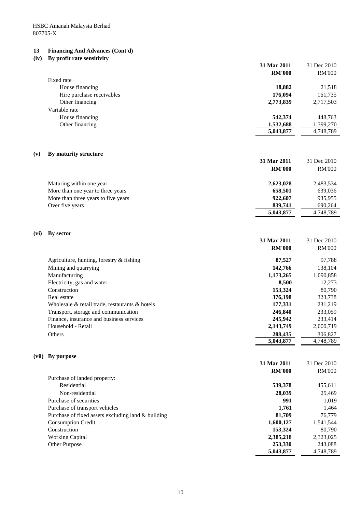#### **13 Financing And Advances (Cont'd)**

# **(iv) By profit rate sensitivity 31 Mar 2011** 31 Dec 2010 **RM'000** RM'000 Fixed rate House financing **18,882** 21,518<br>
Hire purchase receivables **176,094** 161,735 Hire purchase receivables **176,094** 176,094 Other financing **2,773,839** 2,717,503 Variable rate House financing **542,374** 448,763 Other financing **1,532,688** 1,399,270 **5,043,877** 4,748,789 **(v) By maturity structure 31 Mar 2011** 31 Dec 2010 **RM'000** RM'000 Maturing within one year **2,623,028** 2,483,534 More than one year to three years **658,501** 639,036 More than three years to five years **935,955** 935,955 Over five years **839,741** 690,264 **5,043,877** 4,748,789 **(vi) By sector 31 Mar 2011** 31 Dec 2010 **RM'000** RM'000 Agriculture, hunting, forestry & fishing **87,527** 97,788 Mining and quarrying **142,766** 138,104 Manufacturing **1,173,265** 1,090,858 Electricity, gas and water **8,500** 12,273 Construction **153,324** 80,790 Real estate **376,198** 323,738 Wholesale & retail trade, restaurants & hotels **177,331** 231,219 Transport, storage and communication **233,059 246,840** 233,059 Finance, insurance and business services **245,942** 233,414 Household - Retail **2,143,749** 2,000,719 Others **288,435** 306,827 **5,043,877** 4,748,789 **(vii) By purpose 31 Mar 2011** 31 Dec 2010 **RM'000** RM'000 Purchase of landed property: Residential **539,378** 455,611 Non-residential **28,039** 25,469 Purchase of securities **991** 1,019 Purchase of transport vehicles **1,761** 1,464 Purchase of fixed assets excluding land & building **81,709** 76,779 Consumption Credit **1,600,127** 1,541,544 Construction **153,324** 80,790 Working Capital **2,385,218** 2,323,025 Other Purpose 243,088 **5,043,877** 4,748,789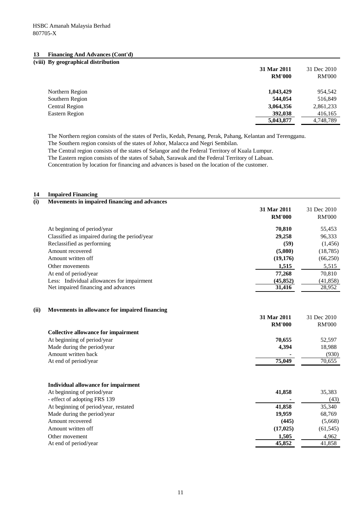#### **13 Financing And Advances (Cont'd)**

| (viii) By geographical distribution |               |               |
|-------------------------------------|---------------|---------------|
|                                     | 31 Mar 2011   | 31 Dec 2010   |
|                                     | <b>RM'000</b> | <b>RM'000</b> |
| Northern Region                     | 1,043,429     | 954,542       |
| Southern Region                     | 544,054       | 516,849       |
| Central Region                      | 3,064,356     | 2,861,233     |
| Eastern Region                      | 392,038       | 416,165       |
|                                     | 5,043,877     | 4,748,789     |

The Northern region consists of the states of Perlis, Kedah, Penang, Perak, Pahang, Kelantan and Terengganu.

The Southern region consists of the states of Johor, Malacca and Negri Sembilan.

The Central region consists of the states of Selangor and the Federal Territory of Kuala Lumpur.

The Eastern region consists of the states of Sabah, Sarawak and the Federal Territory of Labuan.

Concentration by location for financing and advances is based on the location of the customer.

### **14 Impaired Financing**

| (i) | Movements in impaired financing and advances  |               |               |
|-----|-----------------------------------------------|---------------|---------------|
|     |                                               | 31 Mar 2011   | 31 Dec 2010   |
|     |                                               | <b>RM'000</b> | <b>RM'000</b> |
|     | At beginning of period/year                   | 70.810        | 55,453        |
|     | Classified as impaired during the period/year | 29,258        | 96,333        |
|     | Reclassified as performing                    | (59)          | (1,456)       |
|     | Amount recovered                              | (5,080)       | (18, 785)     |
|     | Amount written off                            | (19,176)      | (66,250)      |
|     | Other movements                               | 1,515         | 5,515         |
|     | At end of period/year                         | 77.268        | 70,810        |
|     | Less: Individual allowances for impairment    | (45, 852)     | (41, 858)     |
|     | Net impaired financing and advances           | 31,416        | 28,952        |

#### **(ii) Movements in allowance for impaired financing**

|                                            | 31 Mar 2011<br><b>RM'000</b> | 31 Dec 2010<br><b>RM'000</b> |
|--------------------------------------------|------------------------------|------------------------------|
| <b>Collective allowance for impairment</b> |                              |                              |
| At beginning of period/year                | 70,655                       | 52,597                       |
| Made during the period/year                | 4,394                        | 18,988                       |
| Amount written back                        |                              | (930)                        |
| At end of period/year                      | 75,049                       | 70,655                       |
| Individual allowance for impairment        |                              |                              |
| At beginning of period/year                | 41,858                       | 35,383                       |
| - effect of adopting FRS 139               |                              | (43)                         |
| At beginning of period/year, restated      | 41,858                       | 35,340                       |
| Made during the period/year                | 19,959                       | 68,769                       |
| Amount recovered                           | (445)                        | (5,668)                      |
| Amount written off                         | (17, 025)                    | (61, 545)                    |
| Other movement                             | 1,505                        | 4,962                        |
| At end of period/year                      | 45,852                       | 41,858                       |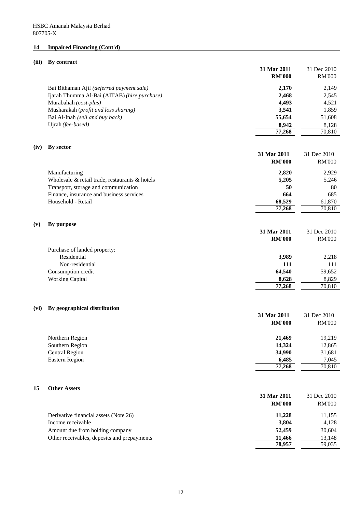# **14 Impaired Financing (Cont'd)**

# **(iii) By contract**

|      |                                                | 31 Mar 2011      | 31 Dec 2010      |
|------|------------------------------------------------|------------------|------------------|
|      |                                                | <b>RM'000</b>    | <b>RM'000</b>    |
|      | Bai Bithaman Ajil (deferred payment sale)      | 2,170            | 2,149            |
|      | Ijarah Thumma Al-Bai (AITAB) (hire purchase)   | 2,468            | 2,545            |
|      | Murabahah (cost-plus)                          | 4,493            | 4,521            |
|      | Musharakah (profit and loss sharing)           | 3,541            | 1,859            |
|      | Bai Al-Inah (sell and buy back)                | 55,654           | 51,608           |
|      | Ujrah (fee-based)                              | 8,942            | 8,128            |
|      |                                                | 77,268           | 70,810           |
| (iv) | By sector                                      |                  |                  |
|      |                                                | 31 Mar 2011      | 31 Dec 2010      |
|      |                                                | <b>RM'000</b>    | <b>RM'000</b>    |
|      |                                                |                  |                  |
|      | Manufacturing                                  | 2,820            | 2,929            |
|      | Wholesale & retail trade, restaurants & hotels | 5,205            | 5,246            |
|      | Transport, storage and communication           | 50               | 80               |
|      | Finance, insurance and business services       | 664              | 685              |
|      | Household - Retail                             | 68,529<br>77,268 | 61,870<br>70,810 |
|      |                                                |                  |                  |
| (v)  | By purpose                                     |                  |                  |
|      |                                                | 31 Mar 2011      | 31 Dec 2010      |
|      |                                                | <b>RM'000</b>    | <b>RM'000</b>    |
|      |                                                |                  |                  |
|      | Purchase of landed property:                   |                  |                  |
|      | Residential                                    | 3,989            | 2,218            |
|      | Non-residential                                | 111<br>64,540    | 111<br>59,652    |
|      | Consumption credit<br><b>Working Capital</b>   | 8,628            | 8,829            |
|      |                                                | 77,268           | 70,810           |
|      |                                                |                  |                  |
|      |                                                |                  |                  |
| (vi) | By geographical distribution                   |                  |                  |
|      |                                                | 31 Mar 2011      | 31 Dec 2010      |
|      |                                                | <b>RM'000</b>    | <b>RM'000</b>    |
|      |                                                |                  |                  |
|      | Northern Region<br>Southern Region             | 21,469<br>14,324 | 19,219<br>12,865 |
|      | <b>Central Region</b>                          | 34,990           | 31,681           |
|      | <b>Eastern Region</b>                          | 6,485            | 7,045            |
|      |                                                | 77,268           | 70,810           |
|      |                                                |                  |                  |
|      |                                                |                  |                  |
| 15   | <b>Other Assets</b>                            |                  |                  |
|      |                                                | 31 Mar 2011      | 31 Dec 2010      |
|      |                                                | <b>RM'000</b>    | <b>RM'000</b>    |
|      | Derivative financial assets (Note 26)          | 11,228           | 11,155           |
|      | Income receivable                              | 3,804            | 4,128            |
|      | Amount due from holding company                | 52,459           | 30,604           |
|      | Other receivables, deposits and prepayments    | 11,466           | 13,148           |
|      |                                                | 78,957           | 59,035           |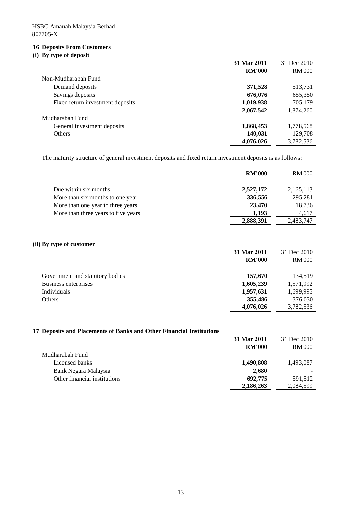# **16 Deposits From Customers**

# **(i) By type of deposit**

|                                  | 31 Mar 2011   | 31 Dec 2010   |
|----------------------------------|---------------|---------------|
|                                  | <b>RM'000</b> | <b>RM'000</b> |
| Non-Mudharabah Fund              |               |               |
| Demand deposits                  | 371,528       | 513,731       |
| Savings deposits                 | 676,076       | 655,350       |
| Fixed return investment deposits | 1,019,938     | 705,179       |
|                                  | 2,067,542     | 1,874,260     |
| Mudharabah Fund                  |               |               |
| General investment deposits      | 1,868,453     | 1,778,568     |
| <b>Others</b>                    | 140,031       | 129,708       |
|                                  | 4,076,026     | 3,782,536     |

The maturity structure of general investment deposits and fixed return investment deposits is as follows:

|                                     | <b>RM'000</b> | <b>RM'000</b> |
|-------------------------------------|---------------|---------------|
| Due within six months               | 2,527,172     | 2,165,113     |
| More than six months to one year    | 336,556       | 295,281       |
| More than one year to three years   | 23,470        | 18,736        |
| More than three years to five years | 1,193         | 4,617         |
|                                     | 2,888,391     | 2,483,747     |

### **(ii) By type of customer**

|                                 | 31 Mar 2011   | 31 Dec 2010   |
|---------------------------------|---------------|---------------|
|                                 | <b>RM'000</b> | <b>RM'000</b> |
| Government and statutory bodies | 157,670       | 134.519       |
| Business enterprises            | 1,605,239     | 1,571,992     |
| Individuals                     | 1,957,631     | 1,699,995     |
| Others                          | 355,486       | 376,030       |
|                                 | 4,076,026     | 3,782,536     |

# **17 Deposits and Placements of Banks and Other Financial Institutions**

| Debosits and 1 facements of Danis's and Other Thiancial Mistrumons |               |               |
|--------------------------------------------------------------------|---------------|---------------|
|                                                                    | 31 Mar 2011   | 31 Dec 2010   |
|                                                                    | <b>RM'000</b> | <b>RM'000</b> |
| Mudharabah Fund                                                    |               |               |
| Licensed banks                                                     | 1,490,808     | 1,493,087     |
| Bank Negara Malaysia                                               | 2,680         |               |
| Other financial institutions                                       | 692,775       | 591,512       |
|                                                                    | 2,186,263     | 2,084,599     |
|                                                                    |               |               |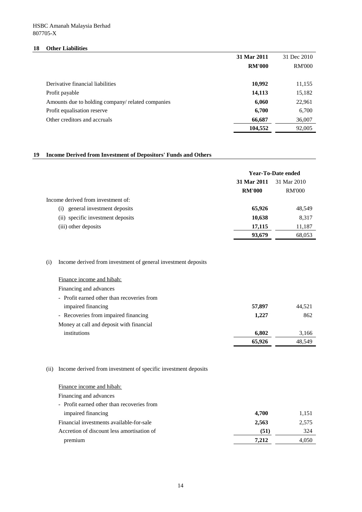### **18 Other Liabilities**

|                                                   | 31 Mar 2011   | 31 Dec 2010   |
|---------------------------------------------------|---------------|---------------|
|                                                   | <b>RM'000</b> | <b>RM'000</b> |
| Derivative financial liabilities                  | 10,992        | 11,155        |
| Profit payable                                    | 14,113        | 15,182        |
| Amounts due to holding company/ related companies | 6,060         | 22,961        |
| Profit equalisation reserve                       | 6,700         | 6,700         |
| Other creditors and accruals                      | 66,687        | 36,007        |
|                                                   | 104,552       | 92,005        |

### **19 Income Derived from Investment of Depositors' Funds and Others**

|                                      | Year-To-Date ended |               |
|--------------------------------------|--------------------|---------------|
|                                      | 31 Mar 2011        | 31 Mar 2010   |
|                                      | <b>RM'000</b>      | <b>RM'000</b> |
| Income derived from investment of:   |                    |               |
| general investment deposits<br>(i)   | 65,926             | 48,549        |
| specific investment deposits<br>(ii) | 10,638             | 8,317         |
| (iii) other deposits                 | 17,115             | 11,187        |
|                                      | 93,679             | 68,053        |

# (i) Income derived from investment of general investment deposits

| Finance income and hibah:                  |        |        |
|--------------------------------------------|--------|--------|
| Financing and advances                     |        |        |
| - Profit earned other than recoveries from |        |        |
| impaired financing                         | 57,897 | 44.521 |
| - Recoveries from impaired financing       | 1,227  | 862    |
| Money at call and deposit with financial   |        |        |
| institutions                               | 6.802  | 3,166  |
|                                            | 65,926 | 48.549 |

### (ii) Income derived from investment of specific investment deposits

| Finance income and hibah:                  |       |       |
|--------------------------------------------|-------|-------|
| Financing and advances                     |       |       |
| - Profit earned other than recoveries from |       |       |
| impaired financing                         | 4.700 | 1,151 |
| Financial investments available-for-sale   | 2,563 | 2,575 |
| Accretion of discount less amortisation of | (51)  | 324   |
| premium                                    | 7.212 | 4,050 |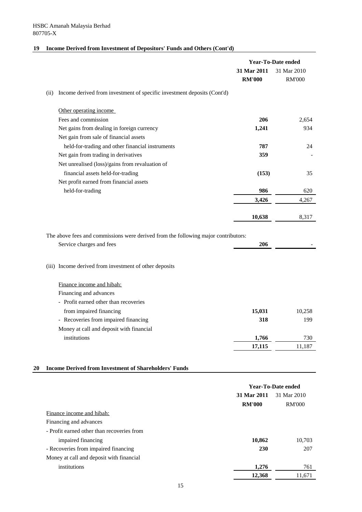# **19 Income Derived from Investment of Depositors' Funds and Others (Cont'd)**

|                                                                                    | Year-To-Date ended           |                              |
|------------------------------------------------------------------------------------|------------------------------|------------------------------|
|                                                                                    | 31 Mar 2011<br><b>RM'000</b> | 31 Mar 2010<br><b>RM'000</b> |
| Income derived from investment of specific investment deposits (Cont'd)<br>(ii)    |                              |                              |
| Other operating income                                                             |                              |                              |
| Fees and commission                                                                | 206                          | 2,654                        |
| Net gains from dealing in foreign currency                                         | 1,241                        | 934                          |
| Net gain from sale of financial assets                                             |                              |                              |
| held-for-trading and other financial instruments                                   | 787                          | 24                           |
| Net gain from trading in derivatives                                               | 359                          |                              |
| Net unrealised (loss)/gains from revaluation of                                    |                              |                              |
| financial assets held-for-trading                                                  | (153)                        | 35                           |
| Net profit earned from financial assets                                            |                              |                              |
| held-for-trading                                                                   | 986                          | 620                          |
|                                                                                    | 3,426                        | 4,267                        |
|                                                                                    | 10,638                       | 8,317                        |
| The above fees and commissions were derived from the following major contributors: |                              |                              |
| Service charges and fees                                                           | 206                          |                              |
| (iii) Income derived from investment of other deposits                             |                              |                              |
| Finance income and hibah:                                                          |                              |                              |
| Financing and advances                                                             |                              |                              |
| - Profit earned other than recoveries                                              |                              |                              |
| from impaired financing                                                            | 15,031                       | 10,258                       |
| - Recoveries from impaired financing                                               | 318                          | 199                          |
| Money at call and deposit with financial                                           |                              |                              |
| institutions                                                                       | 1,766                        | 730                          |
|                                                                                    | 17,115                       | 11,187                       |
| <b>Income Derived from Investment of Shareholders' Funds</b><br>20                 |                              |                              |
|                                                                                    |                              | <b>Year-To-Date ended</b>    |
|                                                                                    | 31 Mar 2011                  | 31 Mar 2010                  |
|                                                                                    | <b>RM'000</b>                | <b>RM'000</b>                |
| Finance income and hibah:<br>Financing and advances                                |                              |                              |
| - Profit earned other than recoveries from                                         |                              |                              |
| impaired financing                                                                 | 10,862                       | 10,703                       |
| - Recoveries from impaired financing                                               | 230                          | 207                          |
| Money at call and deposit with financial                                           |                              |                              |
| institutions                                                                       | 1,276                        | 761                          |
|                                                                                    |                              |                              |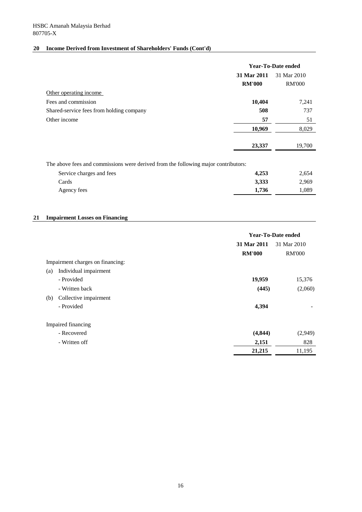# **20 Income Derived from Investment of Shareholders' Funds (Cont'd)**

|                                                                                    | Year-To-Date ended |               |
|------------------------------------------------------------------------------------|--------------------|---------------|
|                                                                                    | 31 Mar 2011        | 31 Mar 2010   |
|                                                                                    | <b>RM'000</b>      | <b>RM'000</b> |
| Other operating income                                                             |                    |               |
| Fees and commission                                                                | 10,404             | 7,241         |
| Shared-service fees from holding company                                           | 508                | 737           |
| Other income                                                                       | 57                 | 51            |
|                                                                                    | 10,969             | 8,029         |
|                                                                                    |                    |               |
|                                                                                    | 23,337             | 19,700        |
|                                                                                    |                    |               |
| The above fees and commissions were derived from the following major contributors: |                    |               |

| Service charges and fees | 4.253 | 2,654 |
|--------------------------|-------|-------|
| Cards                    | 3,333 | 2,969 |
| Agency fees              | 1.736 | L.089 |

### **21 Impairment Losses on Financing**

|                                  |               | Year-To-Date ended |  |
|----------------------------------|---------------|--------------------|--|
|                                  | 31 Mar 2011   | 31 Mar 2010        |  |
|                                  | <b>RM'000</b> | <b>RM'000</b>      |  |
| Impairment charges on financing: |               |                    |  |
| Individual impairment<br>(a)     |               |                    |  |
| - Provided                       | 19,959        | 15,376             |  |
| - Written back                   | (445)         | (2,060)            |  |
| Collective impairment<br>(b)     |               |                    |  |
| - Provided                       | 4,394         |                    |  |
| Impaired financing               |               |                    |  |
| - Recovered                      | (4, 844)      | (2,949)            |  |
| - Written off                    | 2,151         | 828                |  |
|                                  | 21,215        | 11,195             |  |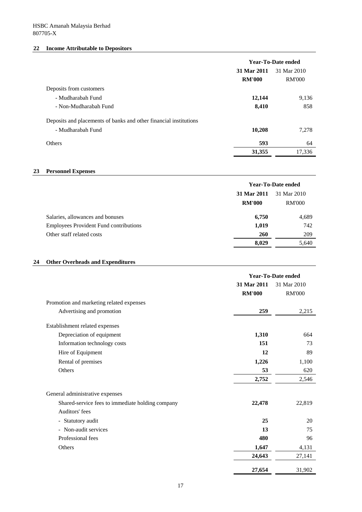# **22 Income Attributable to Depositors**

|                                                                   | <b>Year-To-Date ended</b> |               |
|-------------------------------------------------------------------|---------------------------|---------------|
|                                                                   | 31 Mar 2011               | 31 Mar 2010   |
|                                                                   | <b>RM'000</b>             | <b>RM'000</b> |
| Deposits from customers                                           |                           |               |
| - Mudharabah Fund                                                 | 12,144                    | 9,136         |
| - Non-Mudharabah Fund                                             | 8,410                     | 858           |
| Deposits and placements of banks and other financial institutions |                           |               |
| - Mudharabah Fund                                                 | 10,208                    | 7,278         |
| <b>Others</b>                                                     | 593                       | 64            |
|                                                                   | 31,355                    | 17,336        |

### **23 Personnel Expenses**

|                                               | Year-To-Date ended |               |
|-----------------------------------------------|--------------------|---------------|
|                                               | 31 Mar 2011        | 31 Mar 2010   |
|                                               | <b>RM'000</b>      | <b>RM'000</b> |
| Salaries, allowances and bonuses              | 6,750              | 4,689         |
| <b>Employees Provident Fund contributions</b> | 1,019              | 742           |
| Other staff related costs                     | 260                | 209           |
|                                               | 8,029              | 5,640         |

# **24 Other Overheads and Expenditures**

|                                                  | <b>Year-To-Date ended</b> |               |
|--------------------------------------------------|---------------------------|---------------|
|                                                  | 31 Mar 2011               | 31 Mar 2010   |
|                                                  | <b>RM'000</b>             | <b>RM'000</b> |
| Promotion and marketing related expenses         |                           |               |
| Advertising and promotion                        | 259                       | 2,215         |
| Establishment related expenses                   |                           |               |
| Depreciation of equipment                        | 1,310                     | 664           |
| Information technology costs                     | 151                       | 73            |
| Hire of Equipment                                | 12                        | 89            |
| Rental of premises                               | 1,226                     | 1,100         |
| Others                                           | 53                        | 620           |
|                                                  | 2,752                     | 2,546         |
| General administrative expenses                  |                           |               |
| Shared-service fees to immediate holding company | 22,478                    | 22,819        |
| Auditors' fees                                   |                           |               |
| - Statutory audit                                | 25                        | 20            |
| - Non-audit services                             | 13                        | 75            |
| Professional fees                                | 480                       | 96            |
| Others                                           | 1,647                     | 4,131         |
|                                                  | 24,643                    | 27,141        |
|                                                  | 27,654                    | 31,902        |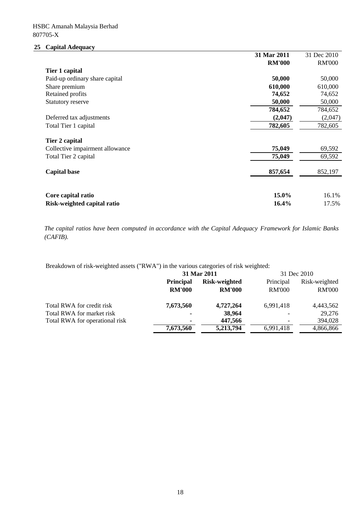# **25 Capital Adequacy**

|                                 | 31 Mar 2011   | 31 Dec 2010   |
|---------------------------------|---------------|---------------|
|                                 | <b>RM'000</b> | <b>RM'000</b> |
| Tier 1 capital                  |               |               |
| Paid-up ordinary share capital  | 50,000        | 50,000        |
| Share premium                   | 610,000       | 610,000       |
| Retained profits                | 74,652        | 74,652        |
| Statutory reserve               | 50,000        | 50,000        |
|                                 | 784,652       | 784,652       |
| Deferred tax adjustments        | (2,047)       | (2,047)       |
| Total Tier 1 capital            | 782,605       | 782,605       |
| Tier 2 capital                  |               |               |
| Collective impairment allowance | 75,049        | 69,592        |
| Total Tier 2 capital            | 75,049        | 69,592        |
| <b>Capital base</b>             | 857,654       | 852,197       |
|                                 |               |               |
| Core capital ratio              | 15.0%         | 16.1%         |
| Risk-weighted capital ratio     | 16.4%         | 17.5%         |

*The capital ratios have been computed in accordance with the Capital Adequacy Framework for Islamic Banks (CAFIB).*

Breakdown of risk-weighted assets ("RWA") in the various categories of risk weighted:

|                                | 31 Mar 2011                       |                                | 31 Dec 2010                |                                |
|--------------------------------|-----------------------------------|--------------------------------|----------------------------|--------------------------------|
|                                | <b>Principal</b><br><b>RM'000</b> | Risk-weighted<br><b>RM'000</b> | Principal<br><b>RM'000</b> | Risk-weighted<br><b>RM'000</b> |
| Total RWA for credit risk      | 7,673,560                         | 4,727,264                      | 6.991.418                  | 4,443,562                      |
| Total RWA for market risk      | $\blacksquare$                    | 38,964                         |                            | 29,276                         |
| Total RWA for operational risk | $\blacksquare$                    | 447,566                        |                            | 394,028                        |
|                                | 7,673,560                         | 5,213,794                      | 6.991.418                  | 4,866,866                      |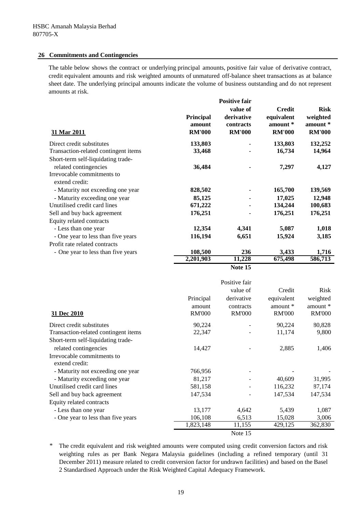### **26 Commitments and Contingencies**

The table below shows the contract or underlying principal amounts, positive fair value of derivative contract, credit equivalent amounts and risk weighted amounts of unmatured off-balance sheet transactions as at balance sheet date. The underlying principal amounts indicate the volume of business outstanding and do not represent amounts at risk.

| 31 Mar 2011                          | <b>Principal</b><br>amount<br><b>RM'000</b> | <b>Positive fair</b><br>value of<br>derivative<br>contracts<br><b>RM'000</b> | <b>Credit</b><br>equivalent<br>amount *<br><b>RM'000</b> | <b>Risk</b><br>weighted<br>amount *<br><b>RM'000</b> |
|--------------------------------------|---------------------------------------------|------------------------------------------------------------------------------|----------------------------------------------------------|------------------------------------------------------|
| Direct credit substitutes            | 133,803                                     |                                                                              | 133,803                                                  | 132,252                                              |
| Transaction-related contingent items | 33,468                                      |                                                                              | 16,734                                                   | 14,964                                               |
| Short-term self-liquidating trade-   |                                             |                                                                              |                                                          |                                                      |
| related contingencies                | 36,484                                      |                                                                              | 7,297                                                    | 4,127                                                |
| Irrevocable commitments to           |                                             |                                                                              |                                                          |                                                      |
| extend credit:                       |                                             |                                                                              |                                                          |                                                      |
| - Maturity not exceeding one year    | 828,502                                     |                                                                              | 165,700                                                  | 139,569                                              |
| - Maturity exceeding one year        | 85,125                                      |                                                                              | 17,025                                                   | 12,948                                               |
| Unutilised credit card lines         | 671,222                                     |                                                                              | 134,244                                                  | 100,683                                              |
| Sell and buy back agreement          | 176,251                                     | $\blacksquare$                                                               | 176,251                                                  | 176,251                                              |
| Equity related contracts             |                                             |                                                                              |                                                          |                                                      |
| - Less than one year                 | 12,354                                      | 4,341                                                                        | 5,087                                                    | 1,018                                                |
| - One year to less than five years   | 116,194                                     | 6,651                                                                        | 15,924                                                   | 3,185                                                |
| Profit rate related contracts        |                                             |                                                                              |                                                          |                                                      |
| - One year to less than five years   | 108,500                                     | 236                                                                          | 3,433                                                    | 1,716                                                |
|                                      | 2,201,903                                   | 11,228                                                                       | 675,498                                                  | 586,713                                              |

**Note 15**

| 31 Dec 2010                                                 | Principal<br>amount<br><b>RM'000</b> | Positive fair<br>value of<br>derivative<br>contracts<br><b>RM'000</b> | Credit<br>equivalent<br>amount *<br><b>RM'000</b> | <b>Risk</b><br>weighted<br>amount $*$<br><b>RM'000</b> |
|-------------------------------------------------------------|--------------------------------------|-----------------------------------------------------------------------|---------------------------------------------------|--------------------------------------------------------|
| Direct credit substitutes                                   | 90,224                               |                                                                       | 90,224                                            | 80,828                                                 |
| Transaction-related contingent items                        | 22,347                               |                                                                       | 11,174                                            | 9,800                                                  |
| Short-term self-liquidating trade-<br>related contingencies | 14,427                               |                                                                       | 2,885                                             | 1,406                                                  |
| Irrevocable commitments to<br>extend credit:                |                                      |                                                                       |                                                   |                                                        |
| - Maturity not exceeding one year                           | 766,956                              |                                                                       |                                                   |                                                        |
| - Maturity exceeding one year                               | 81,217                               |                                                                       | 40,609                                            | 31,995                                                 |
| Unutilised credit card lines                                | 581,158                              |                                                                       | 116,232                                           | 87,174                                                 |
| Sell and buy back agreement                                 | 147,534                              |                                                                       | 147,534                                           | 147,534                                                |
| Equity related contracts                                    |                                      |                                                                       |                                                   |                                                        |
| - Less than one year                                        | 13,177                               | 4,642                                                                 | 5,439                                             | 1,087                                                  |
| - One year to less than five years                          | 106,108                              | 6,513                                                                 | 15,028                                            | 3,006                                                  |
|                                                             | 1,823,148                            | 11,155                                                                | 429,125                                           | 362,830                                                |
|                                                             |                                      | Note 15                                                               |                                                   |                                                        |

*\** The credit equivalent and risk weighted amounts were computed using credit conversion factors and risk weighting rules as per Bank Negara Malaysia guidelines (including a refined temporary (until 31 December 2011) measure related to credit conversion factor for undrawn facilities) and based on the Basel 2 Standardised Approach under the Risk Weighted Capital Adequacy Framework.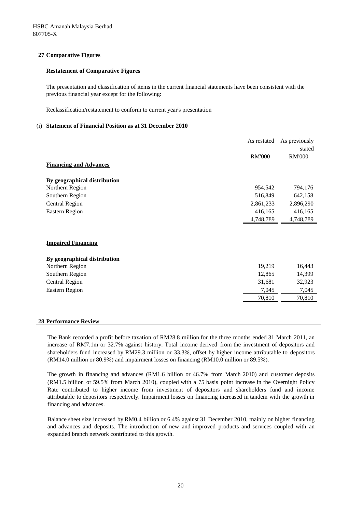#### **27 Comparative Figures**

#### **Restatement of Comparative Figures**

The presentation and classification of items in the current financial statements have been consistent with the previous financial year except for the following:

Reclassification/restatement to conform to current year's presentation

#### (i) **Statement of Financial Position as at 31 December 2010**

|                               | As restated   | As previously |
|-------------------------------|---------------|---------------|
|                               |               | stated        |
|                               | <b>RM'000</b> | <b>RM'000</b> |
| <b>Financing and Advances</b> |               |               |
| By geographical distribution  |               |               |
| Northern Region               | 954,542       | 794,176       |
| Southern Region               | 516,849       | 642,158       |
| <b>Central Region</b>         | 2,861,233     | 2,896,290     |
| <b>Eastern Region</b>         | 416,165       | 416,165       |
|                               | 4,748,789     | 4,748,789     |
|                               |               |               |
|                               |               |               |
| <b>Impaired Financing</b>     |               |               |
| By geographical distribution  |               |               |
| Northern Region               | 19,219        | 16,443        |
| Southern Region               | 12,865        | 14,399        |
| <b>Central Region</b>         | 31,681        | 32,923        |
| <b>Eastern Region</b>         | 7,045         | 7,045         |
|                               | 70,810        | 70,810        |
|                               |               |               |
|                               |               |               |

#### **28 Performance Review**

The Bank recorded a profit before taxation of RM28.8 million for the three months ended 31 March 2011, an increase of RM7.1m or 32.7% against history. Total income derived from the investment of depositors and shareholders fund increased by RM29.3 million or 33.3%, offset by higher income attributable to depositors (RM14.0 million or 80.9%) and impairment losses on financing (RM10.0 million or 89.5%).

The growth in financing and advances (RM1.6 billion or 46.7% from March 2010) and customer deposits (RM1.5 billion or 59.5% from March 2010), coupled with a 75 basis point increase in the Overnight Policy Rate contributed to higher income from investment of depositors and shareholders fund and income attributable to depositors respectively. Impairment losses on financing increased in tandem with the growth in financing and advances.

Balance sheet size increased by RM0.4 billion or 6.4% against 31 December 2010, mainly on higher financing and advances and deposits. The introduction of new and improved products and services coupled with an expanded branch network contributed to this growth.